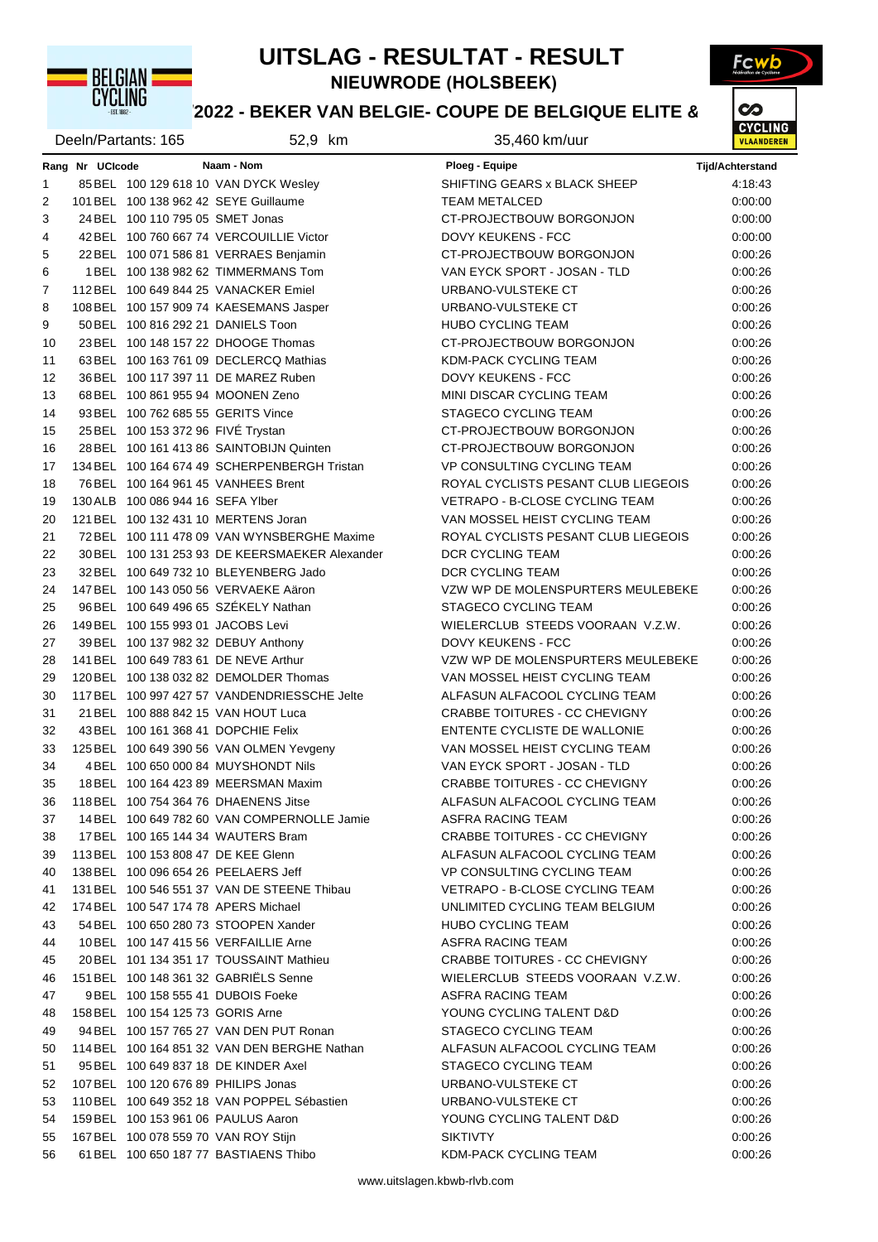

#### **UITSLAG - RESULTAT - RESULT**

Fcwb

**NIEUWRODE (HOLSBEEK)**

# **18822 - BEKER VAN BELGIE- COUPE DE BELGIQUE ELITE & VOLUME**

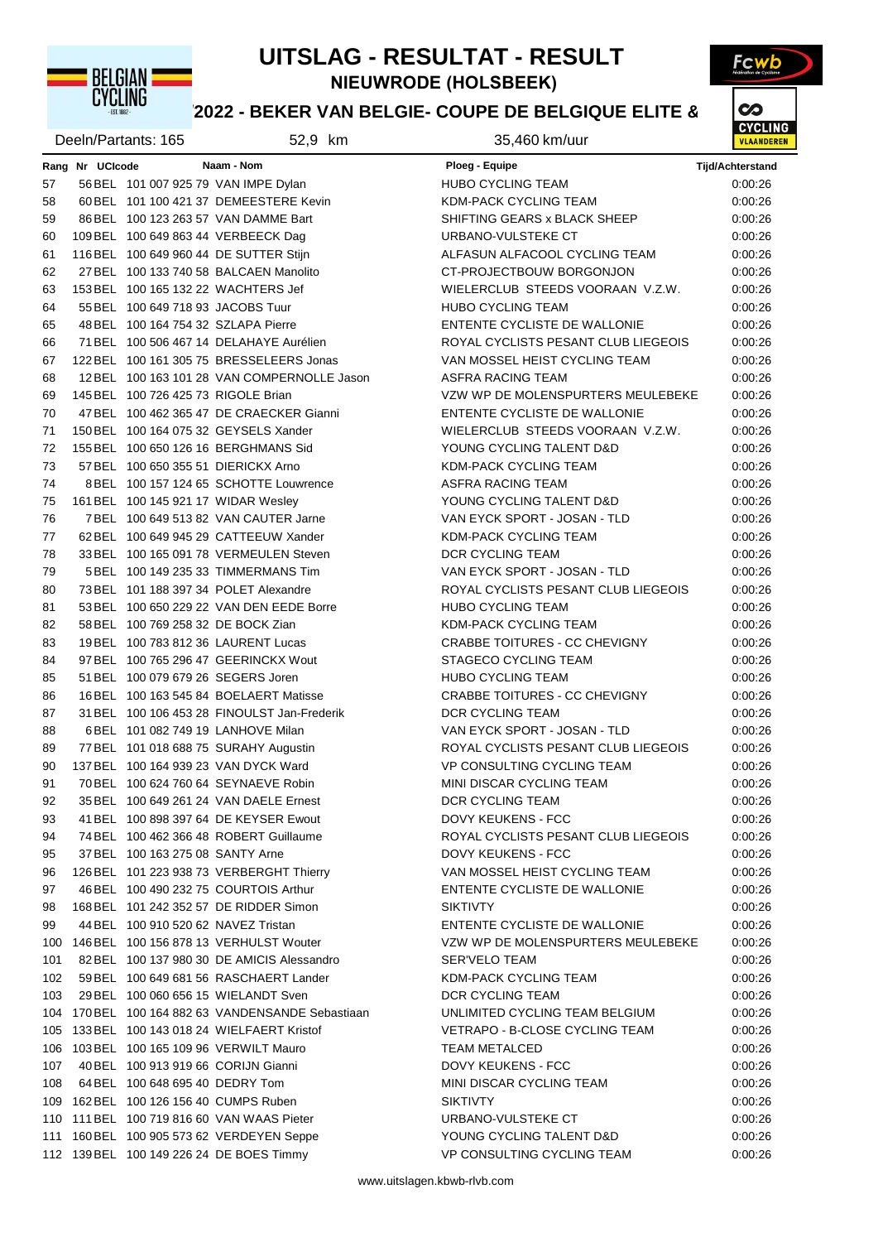

#### **UITSLAG - RESULTAT - RESULT**

Fcwb

**NIEUWRODE (HOLSBEEK)**

# **18822 - BEKER VAN BELGIE- COUPE DE BELGIQUE ELITE & VOLUME**